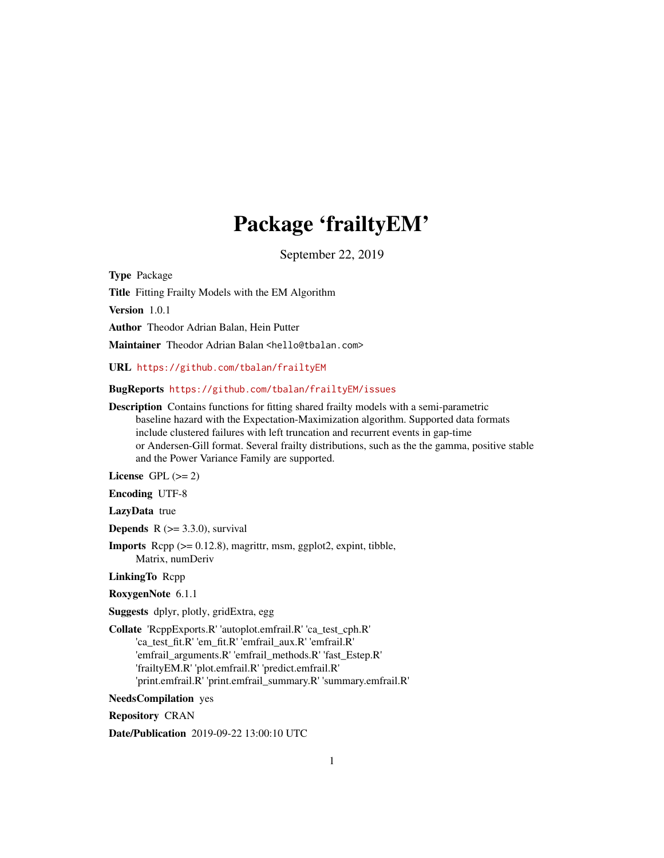## Package 'frailtyEM'

September 22, 2019

Type Package

Title Fitting Frailty Models with the EM Algorithm

Version 1.0.1

Author Theodor Adrian Balan, Hein Putter

Maintainer Theodor Adrian Balan <hello@tbalan.com>

URL <https://github.com/tbalan/frailtyEM>

BugReports <https://github.com/tbalan/frailtyEM/issues>

Description Contains functions for fitting shared frailty models with a semi-parametric baseline hazard with the Expectation-Maximization algorithm. Supported data formats include clustered failures with left truncation and recurrent events in gap-time or Andersen-Gill format. Several frailty distributions, such as the the gamma, positive stable and the Power Variance Family are supported.

License GPL  $(>= 2)$ 

Encoding UTF-8

LazyData true

**Depends**  $R$  ( $> = 3.3.0$ ), survival

Imports Rcpp (>= 0.12.8), magrittr, msm, ggplot2, expint, tibble, Matrix, numDeriv

LinkingTo Rcpp

RoxygenNote 6.1.1

Suggests dplyr, plotly, gridExtra, egg

Collate 'RcppExports.R' 'autoplot.emfrail.R' 'ca\_test\_cph.R' 'ca\_test\_fit.R' 'em\_fit.R' 'emfrail\_aux.R' 'emfrail.R' 'emfrail\_arguments.R' 'emfrail\_methods.R' 'fast\_Estep.R' 'frailtyEM.R' 'plot.emfrail.R' 'predict.emfrail.R' 'print.emfrail.R' 'print.emfrail\_summary.R' 'summary.emfrail.R'

NeedsCompilation yes

Repository CRAN

Date/Publication 2019-09-22 13:00:10 UTC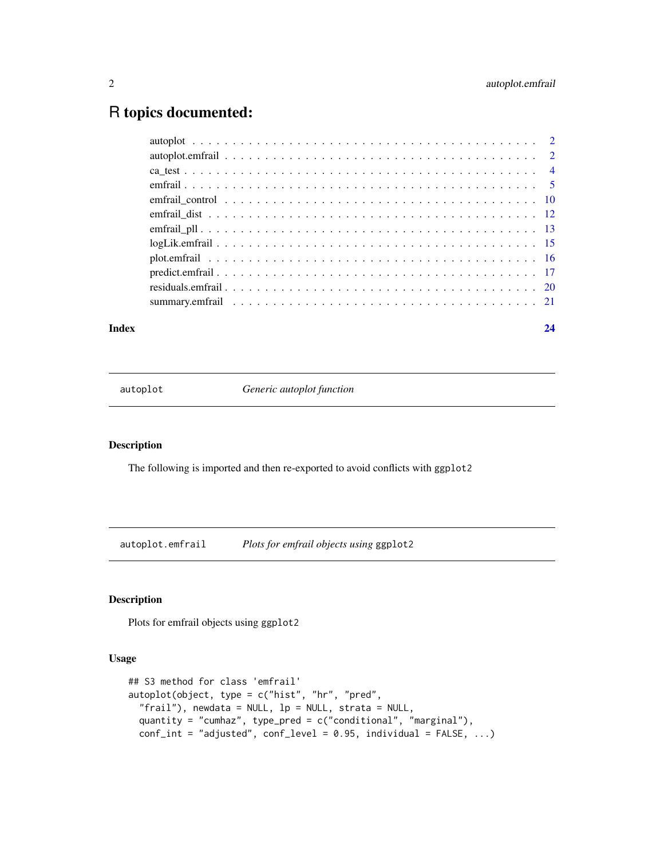### <span id="page-1-0"></span>R topics documented:

#### **Index** [24](#page-23-0)

autoplot *Generic autoplot function*

#### Description

The following is imported and then re-exported to avoid conflicts with ggplot2

<span id="page-1-1"></span>autoplot.emfrail *Plots for emfrail objects using* ggplot2

#### Description

Plots for emfrail objects using ggplot2

#### Usage

```
## S3 method for class 'emfrail'
autoplot(object, type = c("hist", "hr", "pred",
  "frail"), newdata = NULL, lp = NULL, strata = NULL,
 quantity = "cumhaz", type_pred = c("conditional", "marginal"),
 conf\_int = "adjusted", conf\_level = 0.95, individual = FALSE, ...)
```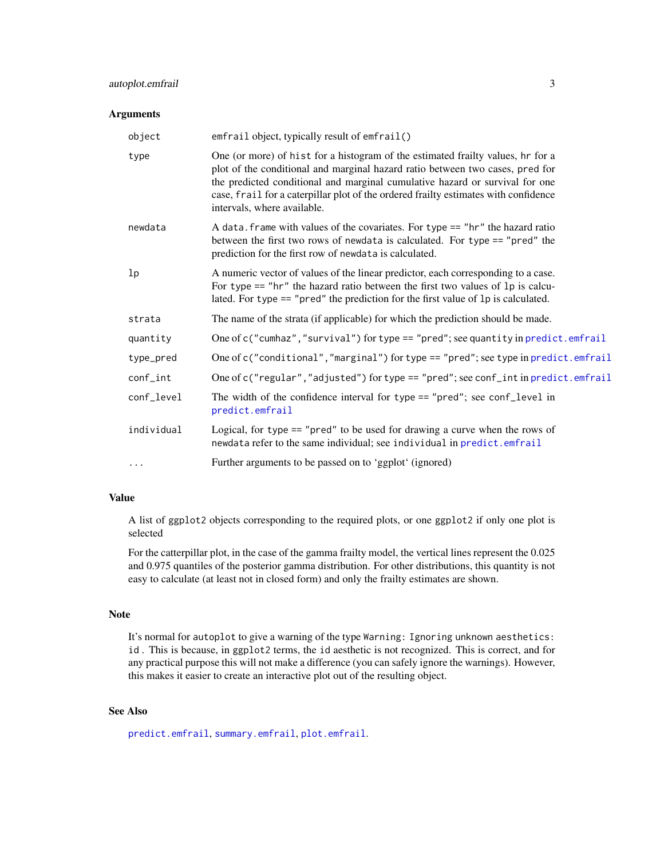#### <span id="page-2-0"></span>autoplot.emfrail 3

#### Arguments

| emfrail object, typically result of emfrail()                                                                                                                                                                                                                                                                                                                          |
|------------------------------------------------------------------------------------------------------------------------------------------------------------------------------------------------------------------------------------------------------------------------------------------------------------------------------------------------------------------------|
| One (or more) of hist for a histogram of the estimated frailty values, hr for a<br>plot of the conditional and marginal hazard ratio between two cases, pred for<br>the predicted conditional and marginal cumulative hazard or survival for one<br>case, frail for a caterpillar plot of the ordered frailty estimates with confidence<br>intervals, where available. |
| A data. frame with values of the covariates. For type $==$ "hr" the hazard ratio<br>between the first two rows of newdata is calculated. For type == "pred" the<br>prediction for the first row of newdata is calculated.                                                                                                                                              |
| A numeric vector of values of the linear predictor, each corresponding to a case.<br>For type $==$ "hr" the hazard ratio between the first two values of 1p is calcu-<br>lated. For type == "pred" the prediction for the first value of 1p is calculated.                                                                                                             |
| The name of the strata (if applicable) for which the prediction should be made.                                                                                                                                                                                                                                                                                        |
| One of c("cumhaz","survival") for type == "pred"; see quantity in predict.emfrail                                                                                                                                                                                                                                                                                      |
| One of c("conditional", "marginal") for type == "pred"; see type in predict.emfrail                                                                                                                                                                                                                                                                                    |
| One of c("regular","adjusted") for type == "pred"; see conf_int in predict.emfrail                                                                                                                                                                                                                                                                                     |
| The width of the confidence interval for type == "pred"; see conf_level in<br>predict.emfrail                                                                                                                                                                                                                                                                          |
| Logical, for type $==$ "pred" to be used for drawing a curve when the rows of<br>newdata refer to the same individual; see individual in predict.emfrail                                                                                                                                                                                                               |
| Further arguments to be passed on to 'ggplot' (ignored)                                                                                                                                                                                                                                                                                                                |
|                                                                                                                                                                                                                                                                                                                                                                        |

#### Value

A list of ggplot2 objects corresponding to the required plots, or one ggplot2 if only one plot is selected

For the catterpillar plot, in the case of the gamma frailty model, the vertical lines represent the 0.025 and 0.975 quantiles of the posterior gamma distribution. For other distributions, this quantity is not easy to calculate (at least not in closed form) and only the frailty estimates are shown.

#### Note

It's normal for autoplot to give a warning of the type Warning: Ignoring unknown aesthetics: id . This is because, in ggplot2 terms, the id aesthetic is not recognized. This is correct, and for any practical purpose this will not make a difference (you can safely ignore the warnings). However, this makes it easier to create an interactive plot out of the resulting object.

#### See Also

[predict.emfrail](#page-16-1), [summary.emfrail](#page-20-1), [plot.emfrail](#page-15-1).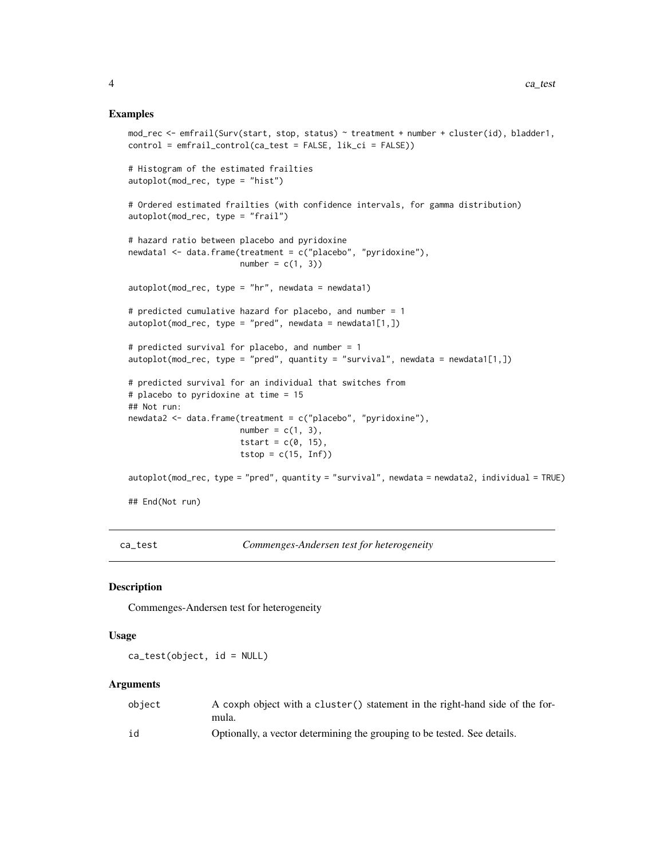#### Examples

```
mod_rec <- emfrail(Surv(start, stop, status) ~ treatment + number + cluster(id), bladder1,
control = emfrail_control(ca_test = FALSE, lik_ci = FALSE))
# Histogram of the estimated frailties
autoplot(mod_rec, type = "hist")
# Ordered estimated frailties (with confidence intervals, for gamma distribution)
autoplot(mod_rec, type = "frail")
# hazard ratio between placebo and pyridoxine
newdata1 <- data.frame(treatment = c("placebo", "pyridoxine"),
                       number = c(1, 3)autoplot(mod\_rec, type = "hr", newdata = newdata1)# predicted cumulative hazard for placebo, and number = 1
autoplot(mod\_rec, type = "pred", newdata = newdata1[1,])# predicted survival for placebo, and number = 1
autoplot(mod\_rec, type = "pred", quantity = "survival", newdata = newdata1[1,])# predicted survival for an individual that switches from
# placebo to pyridoxine at time = 15
## Not run:
newdata2 <- data.frame(treatment = c("placebo", "pyridoxine"),
                       number = c(1, 3),
                       tstart = c(0, 15),
                       tstop = c(15, Inf))
autoplot(mod\_rec, type = "pred", quantity = "survival", newdata = newdata2, individual = TRUE)## End(Not run)
```
ca\_test *Commenges-Andersen test for heterogeneity*

#### Description

Commenges-Andersen test for heterogeneity

#### Usage

ca\_test(object, id = NULL)

#### **Arguments**

| obiect | A coxph object with a cluster () statement in the right-hand side of the for-<br>mula. |
|--------|----------------------------------------------------------------------------------------|
| id     | Optionally, a vector determining the grouping to be tested. See details.               |

<span id="page-3-0"></span>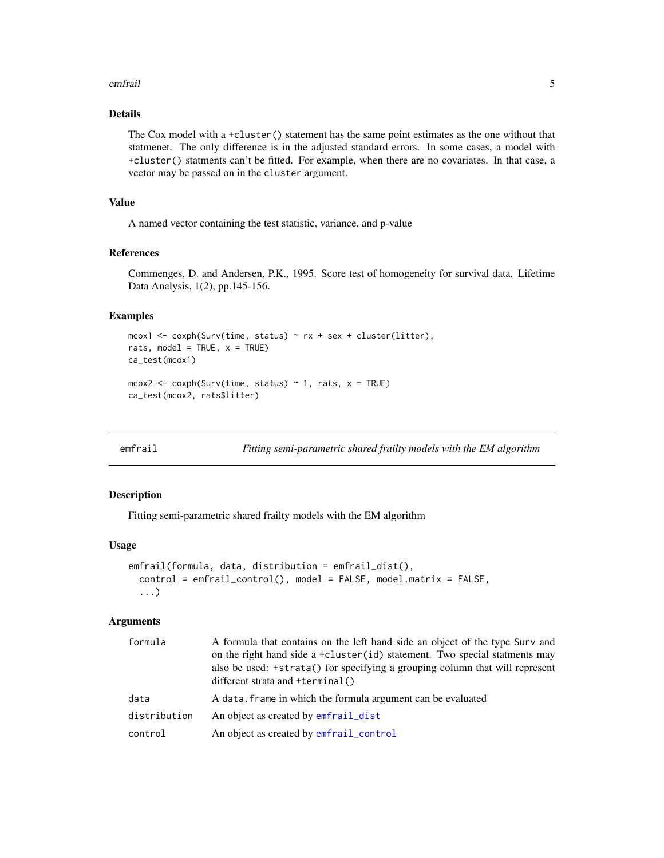#### <span id="page-4-0"></span>emfrail 5

#### Details

The Cox model with a +cluster() statement has the same point estimates as the one without that statmenet. The only difference is in the adjusted standard errors. In some cases, a model with +cluster() statments can't be fitted. For example, when there are no covariates. In that case, a vector may be passed on in the cluster argument.

#### Value

A named vector containing the test statistic, variance, and p-value

#### References

Commenges, D. and Andersen, P.K., 1995. Score test of homogeneity for survival data. Lifetime Data Analysis, 1(2), pp.145-156.

#### Examples

```
mcox1 <- coxph(Surv(time, status) \sim rx + sex + cluster(litter),
rats, model = TRUE, x = TRUE)
ca_test(mcox1)
mcox2 < -coxph(Surv(time, status) \sim 1, rats, x = TRUE)ca_test(mcox2, rats$litter)
```
<span id="page-4-1"></span>emfrail *Fitting semi-parametric shared frailty models with the EM algorithm*

#### Description

Fitting semi-parametric shared frailty models with the EM algorithm

#### Usage

```
emfrail(formula, data, distribution = emfrail_dist(),
  control = emfrail_control(), model = FALSE, model.matrix = FALSE,
  ...)
```
#### Arguments

| formula      | A formula that contains on the left hand side an object of the type Surv and<br>on the right hand side a +cluster(id) statement. Two special statments may<br>also be used: +strata() for specifying a grouping column that will represent<br>different strata and $+$ terminal() |
|--------------|-----------------------------------------------------------------------------------------------------------------------------------------------------------------------------------------------------------------------------------------------------------------------------------|
| data         | A data. frame in which the formula argument can be evaluated                                                                                                                                                                                                                      |
| distribution | An object as created by emfrail_dist                                                                                                                                                                                                                                              |
| control      | An object as created by emfrail_control                                                                                                                                                                                                                                           |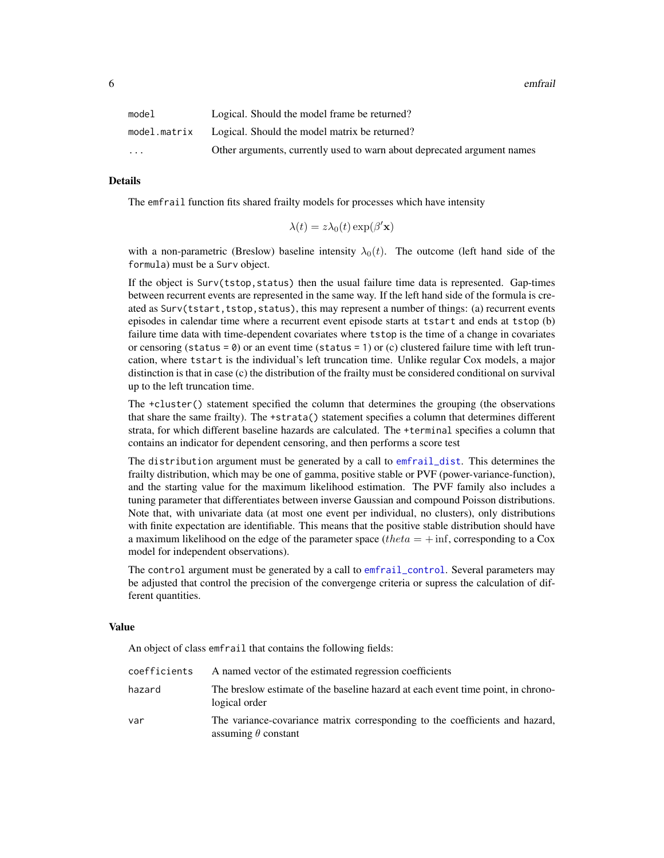<span id="page-5-0"></span>

| model                   | Logical. Should the model frame be returned?                            |
|-------------------------|-------------------------------------------------------------------------|
| model.matrix            | Logical. Should the model matrix be returned?                           |
| $\cdot$ $\cdot$ $\cdot$ | Other arguments, currently used to warn about deprecated argument names |

#### Details

The emfrail function fits shared frailty models for processes which have intensity

$$
\lambda(t) = z\lambda_0(t) \exp(\beta' \mathbf{x})
$$

with a non-parametric (Breslow) baseline intensity  $\lambda_0(t)$ . The outcome (left hand side of the formula) must be a Surv object.

If the object is Surv(tstop,status) then the usual failure time data is represented. Gap-times between recurrent events are represented in the same way. If the left hand side of the formula is created as Surv(tstart,tstop,status), this may represent a number of things: (a) recurrent events episodes in calendar time where a recurrent event episode starts at tstart and ends at tstop (b) failure time data with time-dependent covariates where tstop is the time of a change in covariates or censoring (status =  $\theta$ ) or an event time (status = 1) or (c) clustered failure time with left truncation, where tstart is the individual's left truncation time. Unlike regular Cox models, a major distinction is that in case (c) the distribution of the frailty must be considered conditional on survival up to the left truncation time.

The +cluster() statement specified the column that determines the grouping (the observations that share the same frailty). The +strata() statement specifies a column that determines different strata, for which different baseline hazards are calculated. The +terminal specifies a column that contains an indicator for dependent censoring, and then performs a score test

The distribution argument must be generated by a call to [emfrail\\_dist](#page-11-1). This determines the frailty distribution, which may be one of gamma, positive stable or PVF (power-variance-function), and the starting value for the maximum likelihood estimation. The PVF family also includes a tuning parameter that differentiates between inverse Gaussian and compound Poisson distributions. Note that, with univariate data (at most one event per individual, no clusters), only distributions with finite expectation are identifiable. This means that the positive stable distribution should have a maximum likelihood on the edge of the parameter space (theta  $= + \inf$ , corresponding to a Cox model for independent observations).

The control argument must be generated by a call to [emfrail\\_control](#page-9-1). Several parameters may be adjusted that control the precision of the convergenge criteria or supress the calculation of different quantities.

#### Value

An object of class emfrail that contains the following fields:

| coefficients | A named vector of the estimated regression coefficients                                                    |
|--------------|------------------------------------------------------------------------------------------------------------|
| hazard       | The breslow estimate of the baseline hazard at each event time point, in chrono-<br>logical order          |
| var          | The variance-covariance matrix corresponding to the coefficients and hazard,<br>assuming $\theta$ constant |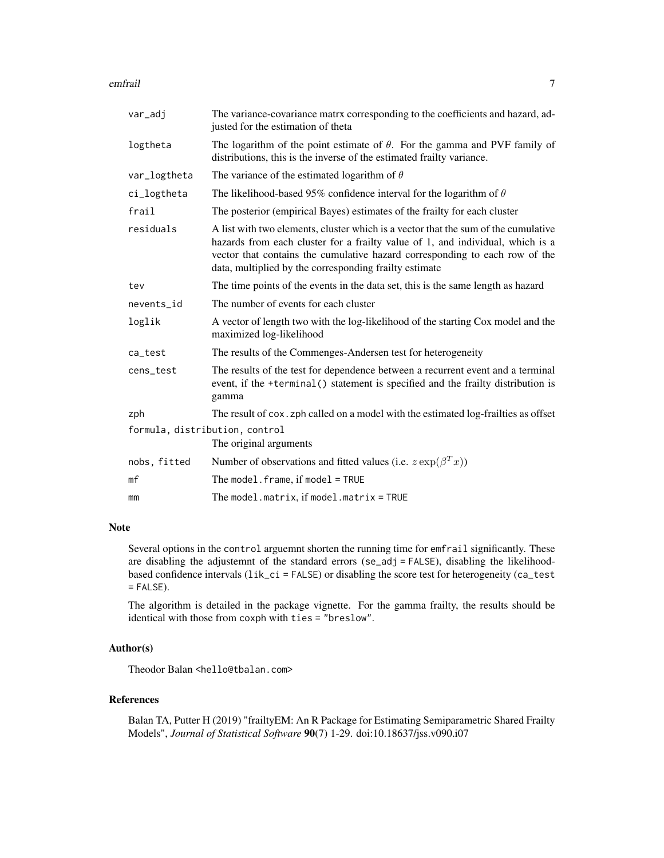#### emfrail and the contract of the contract of the contract of the contract of the contract of the contract of the contract of the contract of the contract of the contract of the contract of the contract of the contract of th

| var_adj                        | The variance-covariance matrx corresponding to the coefficients and hazard, ad-<br>justed for the estimation of theta                                                                                                                                                                                         |
|--------------------------------|---------------------------------------------------------------------------------------------------------------------------------------------------------------------------------------------------------------------------------------------------------------------------------------------------------------|
| logtheta                       | The logarithm of the point estimate of $\theta$ . For the gamma and PVF family of<br>distributions, this is the inverse of the estimated frailty variance.                                                                                                                                                    |
| var_logtheta                   | The variance of the estimated logarithm of $\theta$                                                                                                                                                                                                                                                           |
| ci_logtheta                    | The likelihood-based 95% confidence interval for the logarithm of $\theta$                                                                                                                                                                                                                                    |
| frail                          | The posterior (empirical Bayes) estimates of the frailty for each cluster                                                                                                                                                                                                                                     |
| residuals                      | A list with two elements, cluster which is a vector that the sum of the cumulative<br>hazards from each cluster for a frailty value of 1, and individual, which is a<br>vector that contains the cumulative hazard corresponding to each row of the<br>data, multiplied by the corresponding frailty estimate |
| tev                            | The time points of the events in the data set, this is the same length as hazard                                                                                                                                                                                                                              |
| nevents_id                     | The number of events for each cluster                                                                                                                                                                                                                                                                         |
| loglik                         | A vector of length two with the log-likelihood of the starting Cox model and the<br>maximized log-likelihood                                                                                                                                                                                                  |
| ca_test                        | The results of the Commenges-Andersen test for heterogeneity                                                                                                                                                                                                                                                  |
| cens_test                      | The results of the test for dependence between a recurrent event and a terminal<br>event, if the +terminal() statement is specified and the frailty distribution is<br>gamma                                                                                                                                  |
| zph                            | The result of cox. zph called on a model with the estimated log-frailties as offset                                                                                                                                                                                                                           |
| formula, distribution, control |                                                                                                                                                                                                                                                                                                               |
|                                | The original arguments                                                                                                                                                                                                                                                                                        |
| nobs, fitted                   | Number of observations and fitted values (i.e. $z \exp(\beta^T x)$ )                                                                                                                                                                                                                                          |
| mf                             | The model. $frame$ , if model = TRUE                                                                                                                                                                                                                                                                          |
| mm                             | The model.matrix, if model.matrix = TRUE                                                                                                                                                                                                                                                                      |
|                                |                                                                                                                                                                                                                                                                                                               |

#### Note

Several options in the control arguemnt shorten the running time for emfrail significantly. These are disabling the adjustemnt of the standard errors (se\_adj = FALSE), disabling the likelihoodbased confidence intervals  $(iik_cci = FALEE)$  or disabling the score test for heterogeneity (ca\_test  $=$  FALSE).

The algorithm is detailed in the package vignette. For the gamma frailty, the results should be identical with those from coxph with ties = "breslow".

#### Author(s)

Theodor Balan <hello@tbalan.com>

#### References

Balan TA, Putter H (2019) "frailtyEM: An R Package for Estimating Semiparametric Shared Frailty Models", *Journal of Statistical Software* 90(7) 1-29. doi:10.18637/jss.v090.i07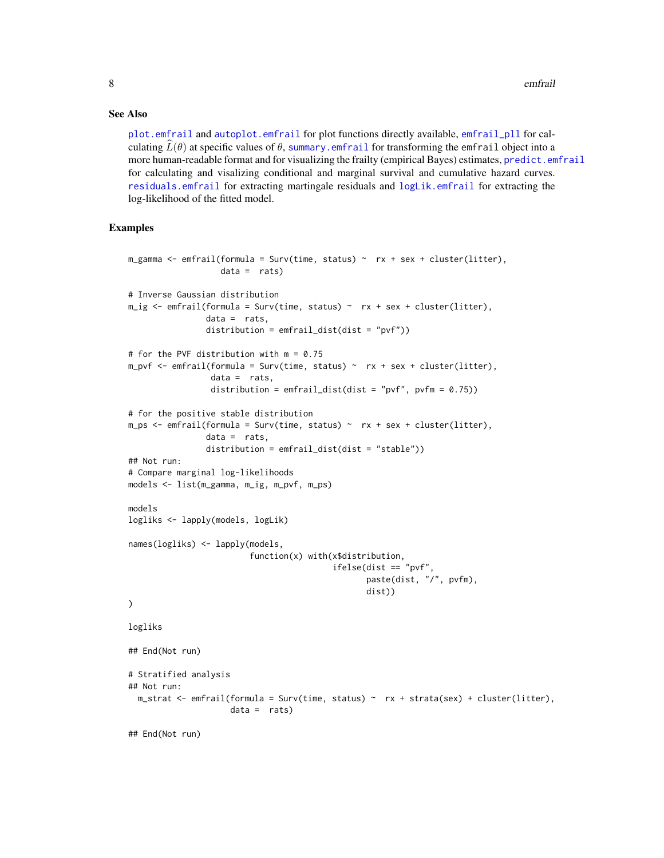#### <span id="page-7-0"></span>See Also

[plot.emfrail](#page-15-1) and [autoplot.emfrail](#page-1-1) for plot functions directly available, [emfrail\\_pll](#page-12-1) for calculating  $\bar{L}(\theta)$  at specific values of  $\theta$ , summary. emfrail for transforming the emfrail object into a more human-readable format and for visualizing the frailty (empirical Bayes) estimates, [predict.emfrail](#page-16-1) for calculating and visalizing conditional and marginal survival and cumulative hazard curves. [residuals.emfrail](#page-19-1) for extracting martingale residuals and [logLik.emfrail](#page-14-1) for extracting the log-likelihood of the fitted model.

#### Examples

```
m_gamma <- emfrail(formula = Surv(time, status) ~ rx + sex + cluster(litter),
                   data = rats)# Inverse Gaussian distribution
m_ig \leftarrow emfrail(formula = Surv(time, status) \sim rx + sex + cluster(litter),data = rats,distribution = emfrail_dist(dist = "pvf"))
# for the PVF distribution with m = 0.75
m\_pvf \le emfrail(formula = Surv(time, status) ~ rx + sex + cluster(litter),
                 data = rats,
                 distribution = emfrail_dist(dist = "pvf", pvfm = (0.75))
# for the positive stable distribution
m-ps \leftarrow emfrail(formula = Surv(time, status) \sim rx + sex + cluster(litter),data = rats,distribution = emfrail_dist(dist = "stable"))
## Not run:
# Compare marginal log-likelihoods
models <- list(m_gamma, m_ig, m_pvf, m_ps)
models
logliks <- lapply(models, logLik)
names(logliks) <- lapply(models,
                         function(x) with(x$distribution,
                                           ifelse(dist == "pvf",
                                                  paste(dist, "/", pvfm),
                                                  dist))
)
logliks
## End(Not run)
# Stratified analysis
## Not run:
 m_{\text{1}}strat <- emfrail(formula = Surv(time, status) ~ rx + strata(sex) + cluster(litter),
                     data = rats)## End(Not run)
```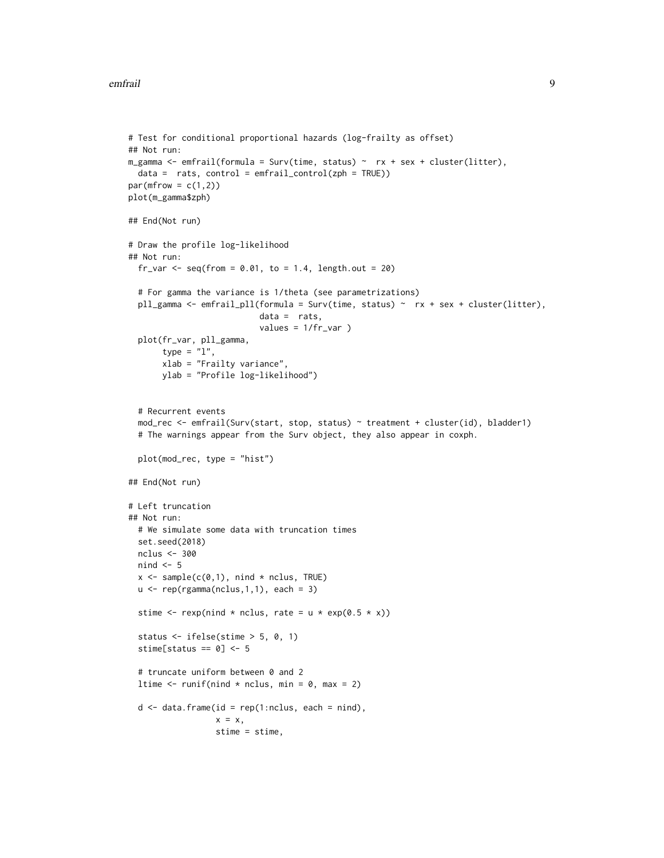#### emfrail 9

```
# Test for conditional proportional hazards (log-frailty as offset)
## Not run:
m_gamma <- emfrail(formula = Surv(time, status) ~ rx + sex + cluster(litter),
  data = rats, control = emfrail_countol(zph = TRUE))par(mfrow = c(1,2))plot(m_gamma$zph)
## End(Not run)
# Draw the profile log-likelihood
## Not run:
  fr_var \leq seq(from = 0.01, to = 1.4, length.out = 20)
  # For gamma the variance is 1/theta (see parametrizations)
  pll_gamma <- emfrail_pll(formula = Surv(time, status) ~ rx + sex + cluster(litter),
                           data = rats,values = 1/fr_var )
  plot(fr_var, pll_gamma,
       type = "1",xlab = "Frailty variance",
       ylab = "Profile log-likelihood")
  # Recurrent events
  mod_rec <- emfrail(Surv(start, stop, status) ~ treatment + cluster(id), bladder1)
  # The warnings appear from the Surv object, they also appear in coxph.
  plot(mod_rec, type = "hist")
## End(Not run)
# Left truncation
## Not run:
  # We simulate some data with truncation times
  set.seed(2018)
 nclus <- 300
  nind <-5x \leq - sample(c(0,1), nind * nclus, TRUE)
  u \leftarrow rep(rgamma(nclus, 1, 1), each = 3)stime \leq rexp(nind * nclus, rate = u * exp(0.5 * x))
  status <- ifelse(stime > 5, 0, 1)
  stime[status == 0] <- 5
  # truncate uniform between 0 and 2
  ltime \le runif(nind \star nclus, min = 0, max = 2)
  d \le - data.frame(id = rep(1:nclus, each = nind),
                  x = x,stime = stime,
```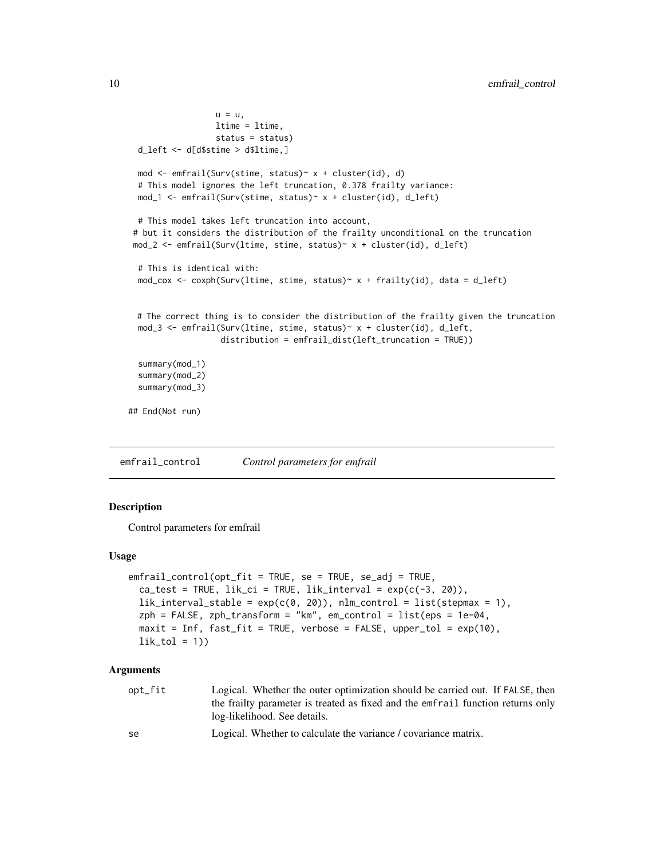```
u = u,
                 ltime = ltime,
                 status = status)
 d_left <- d[d$stime > d$ltime,]
 mod <- emfrail(Surv(stime, status)~ x + cluster(id), d)
 # This model ignores the left truncation, 0.378 frailty variance:
 mod_1 <- emfrail(Surv(stime, status)~ x + cluster(id), d_left)
 # This model takes left truncation into account,
# but it considers the distribution of the frailty unconditional on the truncation
mod_2 <- emfrail(Surv(ltime, stime, status)~ x + cluster(id), d_left)
 # This is identical with:
 mod_cox <- coxph(Surv(ltime, stime, status)~ x + frailty(id), data = d_left)
 # The correct thing is to consider the distribution of the frailty given the truncation
 mod_3 <- emfrail(Surv(ltime, stime, status)~ x + cluster(id), d_left,
                   distribution = emfrail_dist(left_truncation = TRUE))
 summary(mod_1)
 summary(mod_2)
 summary(mod_3)
## End(Not run)
```
<span id="page-9-1"></span>emfrail\_control *Control parameters for emfrail*

#### Description

Control parameters for emfrail

#### Usage

```
emfrail_control(opt_fit = TRUE, se = TRUE, se_adj = TRUE,
  ca_test = TRUE, lik_ci = TRUE, lik\_interval = exp(c(-3, 20)),lik\_interval\_stable = exp(c(0, 20)), nlm\_control = list(stepmax = 1),
 zph = FALSE, zph\_transform = "km", em\_control = list(eps = 1e-04,maxit = Inf, fast_fit = TRUE, verbose = FALSE, upper_tol = exp(10),lik\_tol = 1)
```
#### Arguments

| opt_fit | Logical. Whether the outer optimization should be carried out. If FALSE, then   |
|---------|---------------------------------------------------------------------------------|
|         | the frailty parameter is treated as fixed and the emfrail function returns only |
|         | log-likelihood. See details.                                                    |

```
se Logical. Whether to calculate the variance / covariance matrix.
```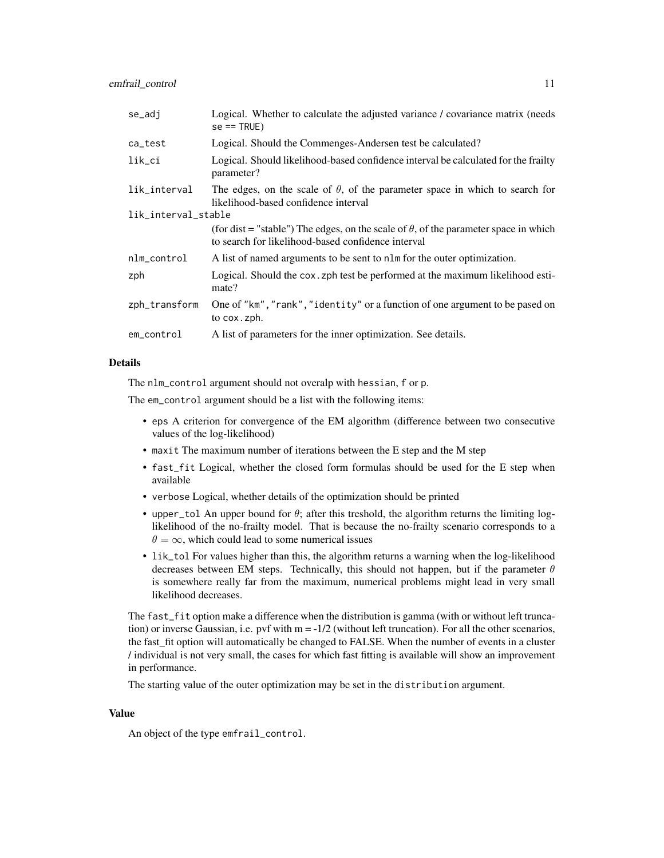| se_adj              | Logical. Whether to calculate the adjusted variance / covariance matrix (needs)<br>$se == TRUE$ )                                                 |  |
|---------------------|---------------------------------------------------------------------------------------------------------------------------------------------------|--|
| ca_test             | Logical. Should the Commenges-Andersen test be calculated?                                                                                        |  |
| lik_ci              | Logical. Should likelihood-based confidence interval be calculated for the frailty<br>parameter?                                                  |  |
| lik_interval        | The edges, on the scale of $\theta$ , of the parameter space in which to search for<br>likelihood-based confidence interval                       |  |
| lik_interval_stable |                                                                                                                                                   |  |
|                     | (for dist = "stable") The edges, on the scale of $\theta$ , of the parameter space in which<br>to search for likelihood-based confidence interval |  |
| nlm_control         | A list of named arguments to be sent to nlm for the outer optimization.                                                                           |  |
| zph                 | Logical. Should the cox. zph test be performed at the maximum likelihood esti-<br>mate?                                                           |  |
| zph_transform       | One of "km", "rank", "identity" or a function of one argument to be pased on<br>to cox.zph.                                                       |  |
| em_control          | A list of parameters for the inner optimization. See details.                                                                                     |  |

#### Details

The nlm\_control argument should not overalp with hessian, f or p.

The em\_control argument should be a list with the following items:

- eps A criterion for convergence of the EM algorithm (difference between two consecutive values of the log-likelihood)
- maxit The maximum number of iterations between the E step and the M step
- fast\_fit Logical, whether the closed form formulas should be used for the E step when available
- verbose Logical, whether details of the optimization should be printed
- upper\_tol An upper bound for  $\theta$ ; after this treshold, the algorithm returns the limiting loglikelihood of the no-frailty model. That is because the no-frailty scenario corresponds to a  $\theta = \infty$ , which could lead to some numerical issues
- lik\_tol For values higher than this, the algorithm returns a warning when the log-likelihood decreases between EM steps. Technically, this should not happen, but if the parameter  $\theta$ is somewhere really far from the maximum, numerical problems might lead in very small likelihood decreases.

The fast\_fit option make a difference when the distribution is gamma (with or without left truncation) or inverse Gaussian, i.e. pvf with  $m = -1/2$  (without left truncation). For all the other scenarios, the fast\_fit option will automatically be changed to FALSE. When the number of events in a cluster / individual is not very small, the cases for which fast fitting is available will show an improvement in performance.

The starting value of the outer optimization may be set in the distribution argument.

#### Value

An object of the type emfrail\_control.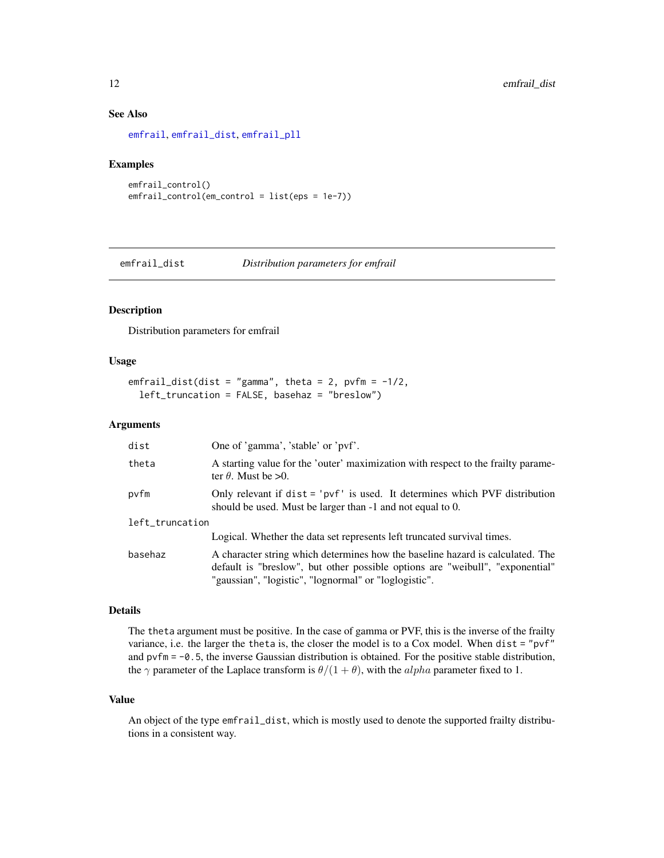#### <span id="page-11-0"></span>See Also

```
emfrail, emfrail_dist, emfrail_pll
```
#### Examples

```
emfrail_control()
emfrail_control(em_control = list(eps = 1e-7))
```
<span id="page-11-1"></span>emfrail\_dist *Distribution parameters for emfrail*

#### Description

Distribution parameters for emfrail

#### Usage

```
emfrail_dist(dist = "gamma", theta = 2, pvfm = -1/2,
 left_truncation = FALSE, basehaz = "breslow")
```
#### Arguments

| dist            | One of 'gamma', 'stable' or 'pvf'.                                                                                                                                                                                       |  |
|-----------------|--------------------------------------------------------------------------------------------------------------------------------------------------------------------------------------------------------------------------|--|
| theta           | A starting value for the 'outer' maximization with respect to the frailty parame-<br>ter $\theta$ . Must be >0.                                                                                                          |  |
| pvfm            | Only relevant if $dist = 'pyf'$ is used. It determines which PVF distribution<br>should be used. Must be larger than -1 and not equal to 0.                                                                              |  |
| left_truncation |                                                                                                                                                                                                                          |  |
|                 | Logical. Whether the data set represents left truncated survival times.                                                                                                                                                  |  |
| basehaz         | A character string which determines how the baseline hazard is calculated. The<br>default is "breslow", but other possible options are "weibull", "exponential"<br>"gaussian", "logistic", "lognormal" or "loglogistic". |  |

#### Details

The theta argument must be positive. In the case of gamma or PVF, this is the inverse of the frailty variance, i.e. the larger the theta is, the closer the model is to a Cox model. When dist = "pvf" and  $\text{pvfm} = -0.5$ , the inverse Gaussian distribution is obtained. For the positive stable distribution, the  $\gamma$  parameter of the Laplace transform is  $\theta/(1+\theta)$ , with the *alpha* parameter fixed to 1.

#### Value

An object of the type emfrail\_dist, which is mostly used to denote the supported frailty distributions in a consistent way.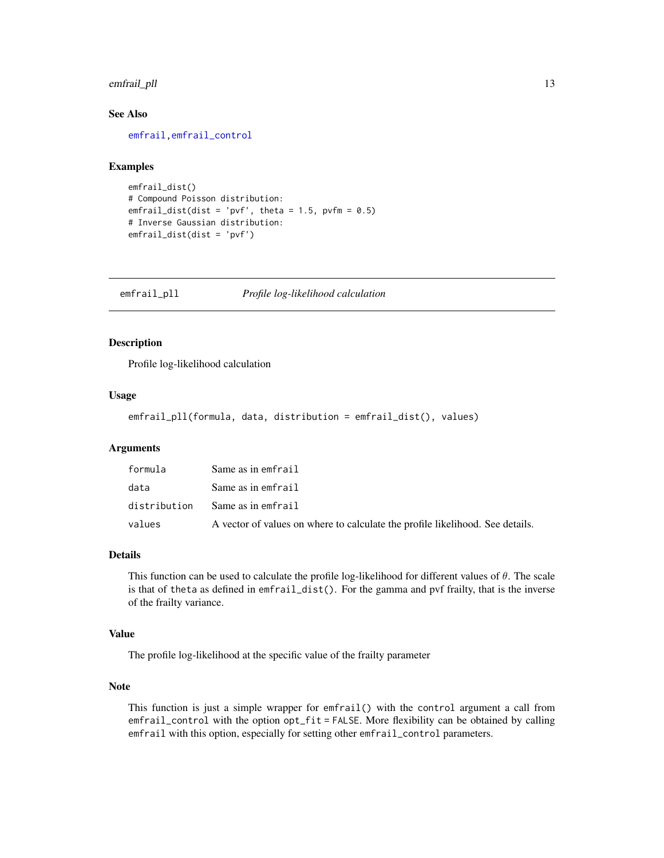#### <span id="page-12-0"></span>emfrail\_pll 13

#### See Also

[emfrail](#page-4-1)[,emfrail\\_control](#page-9-1)

#### Examples

```
emfrail_dist()
# Compound Poisson distribution:
emfrail_dist(dist = 'pvf', theta = 1.5, pvfm = 0.5)
# Inverse Gaussian distribution:
emfrail_dist(dist = 'pvf')
```
<span id="page-12-1"></span>emfrail\_pll *Profile log-likelihood calculation*

#### Description

Profile log-likelihood calculation

#### Usage

```
emfrail_pll(formula, data, distribution = emfrail_dist(), values)
```
#### Arguments

| formula      | Same as in emfrail                                                            |
|--------------|-------------------------------------------------------------------------------|
| data         | Same as in emfrail                                                            |
| distribution | Same as in emfrail                                                            |
| values       | A vector of values on where to calculate the profile likelihood. See details. |

#### Details

This function can be used to calculate the profile log-likelihood for different values of  $\theta$ . The scale is that of theta as defined in emfrail\_dist(). For the gamma and pvf frailty, that is the inverse of the frailty variance.

#### Value

The profile log-likelihood at the specific value of the frailty parameter

#### Note

This function is just a simple wrapper for emfrail() with the control argument a call from emfrail\_control with the option opt\_fit = FALSE. More flexibility can be obtained by calling emfrail with this option, especially for setting other emfrail\_control parameters.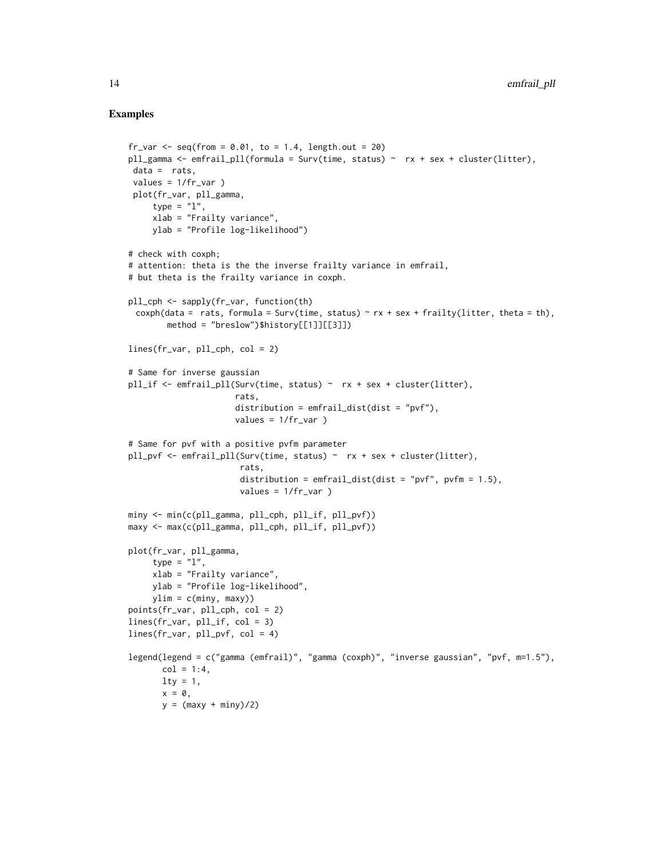#### Examples

```
fr_var \leftarrow seq(from = 0.01, to = 1.4, length.out = 20)pll_gamma <- emfrail_pll(formula = Surv(time, status) ~ rx + sex + cluster(litter),
 data = rats,
 values = 1/fr_lvar)
 plot(fr_var, pll_gamma,
     type = "1",xlab = "Frailty variance",
    ylab = "Profile log-likelihood")
# check with coxph;
# attention: theta is the the inverse frailty variance in emfrail,
# but theta is the frailty variance in coxph.
pll_cph <- sapply(fr_var, function(th)
 coxph(data = rats, formula = Surv(time, status) \sim rx + sex + frailty(litter, theta = th),
        method = "breslow")$history[[1]][[3]])
lines(fr_var, pll_cph, col = 2)
# Same for inverse gaussian
pll_if <- emfrail_pll(Surv(time, status) ~ rx + sex + cluster(litter),
                      rats,
                      distribution = emfrail_dist(dist = "pvf"),
                      values = 1/fr_lvar)# Same for pvf with a positive pvfm parameter
pll_pvf <- emfrail_pll(Surv(time, status) ~ rx + sex + cluster(litter),
                       rats,
                       distribution = emfrail\_dist(dist = "pvf", pvfm = 1.5),
                       values = 1/fr_{var})
miny <- min(c(pll_gamma, pll_cph, pll_if, pll_pvf))
maxy <- max(c(pll_gamma, pll_cph, pll_if, pll_pvf))
plot(fr_var, pll_gamma,
     type = "1",
     xlab = "Frailty variance",
    ylab = "Profile log-likelihood",
    ylim = c(miny, maxy))points(fr_var, pll_cph, col = 2)
lines(fr_var, pll_if, col = 3)
lines(fr_var, pll_pvf, col = 4)
legend(legend = c("gamma (emfrail)", "gamma (coxph)", "inverse gaussian", "pvf, m=1.5"),
       col = 1:4,
      lty = 1,
      x = 0,
       y = (maxy + miny)/2)
```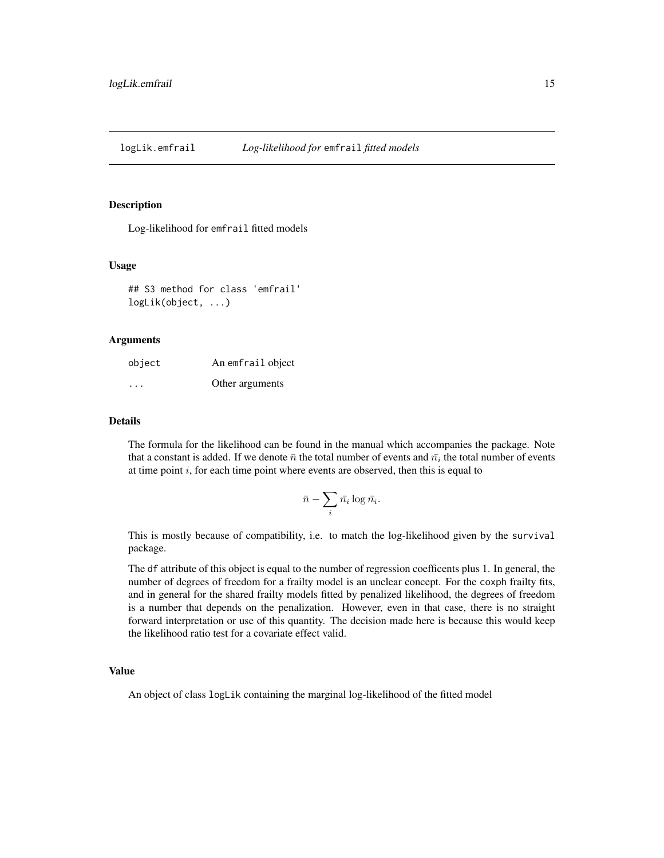<span id="page-14-1"></span><span id="page-14-0"></span>logLik.emfrail *Log-likelihood for* emfrail *fitted models*

#### Description

Log-likelihood for emfrail fitted models

#### Usage

```
## S3 method for class 'emfrail'
logLik(object, ...)
```
#### Arguments

| object   | An emfrail object |
|----------|-------------------|
| $\cdots$ | Other arguments   |

#### Details

The formula for the likelihood can be found in the manual which accompanies the package. Note that a constant is added. If we denote  $\bar{n}$  the total number of events and  $\bar{n_i}$  the total number of events at time point  $i$ , for each time point where events are observed, then this is equal to

$$
\bar{n} - \sum_i \bar{n_i} \log \bar{n_i}.
$$

This is mostly because of compatibility, i.e. to match the log-likelihood given by the survival package.

The df attribute of this object is equal to the number of regression coefficents plus 1. In general, the number of degrees of freedom for a frailty model is an unclear concept. For the coxph frailty fits, and in general for the shared frailty models fitted by penalized likelihood, the degrees of freedom is a number that depends on the penalization. However, even in that case, there is no straight forward interpretation or use of this quantity. The decision made here is because this would keep the likelihood ratio test for a covariate effect valid.

#### Value

An object of class logLik containing the marginal log-likelihood of the fitted model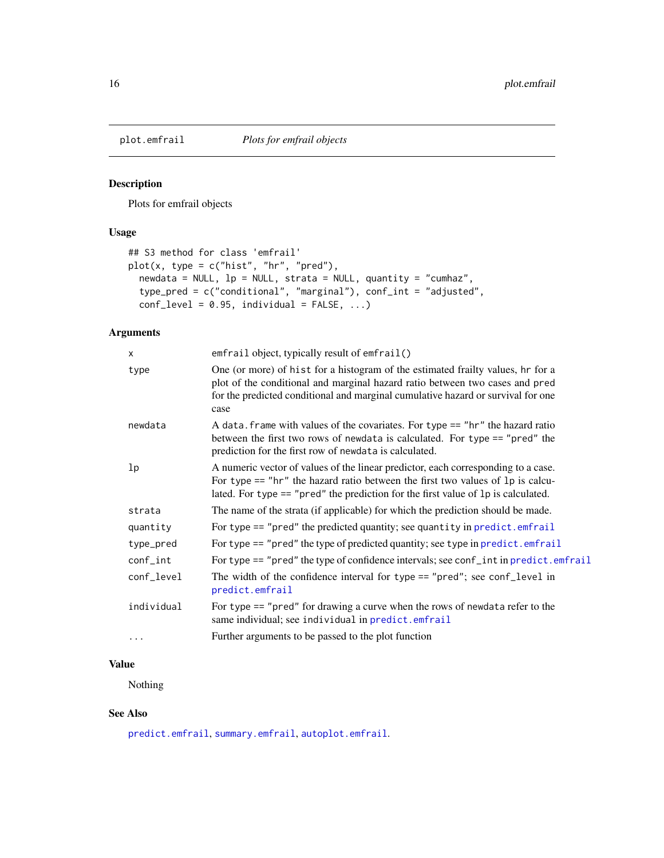<span id="page-15-1"></span><span id="page-15-0"></span>

#### Description

Plots for emfrail objects

#### Usage

```
## S3 method for class 'emfrail'
plot(x, type = c("hist", "hr", "pred"),newdata = NULL, lp = NULL, strata = NULL, quantity = "cumhaz",
 type_pred = c("conditional", "marginal"), conf_int = "adjusted",
  conf\_level = 0.95, individual = FALSE, ...)
```
#### Arguments

| X          | emfrail object, typically result of emfrail()                                                                                                                                                                                                                  |  |
|------------|----------------------------------------------------------------------------------------------------------------------------------------------------------------------------------------------------------------------------------------------------------------|--|
| type       | One (or more) of hist for a histogram of the estimated frailty values, hr for a<br>plot of the conditional and marginal hazard ratio between two cases and pred<br>for the predicted conditional and marginal cumulative hazard or survival for one<br>case    |  |
| newdata    | A data. frame with values of the covariates. For type == "hr" the hazard ratio<br>between the first two rows of newdata is calculated. For type == "pred" the<br>prediction for the first row of newdata is calculated.                                        |  |
| lp         | A numeric vector of values of the linear predictor, each corresponding to a case.<br>For type $==$ "hr" the hazard ratio between the first two values of 1p is calcu-<br>lated. For type $==$ "pred" the prediction for the first value of $lp$ is calculated. |  |
| strata     | The name of the strata (if applicable) for which the prediction should be made.                                                                                                                                                                                |  |
| quantity   | For type == "pred" the predicted quantity; see quantity in predict.emfrail                                                                                                                                                                                     |  |
| type_pred  | For type == "pred" the type of predicted quantity; see type in predict.emfrail                                                                                                                                                                                 |  |
| conf_int   | For type == "pred" the type of confidence intervals; see conf_int in predict.emfrail                                                                                                                                                                           |  |
| conf_level | The width of the confidence interval for type == "pred"; see conf_level in<br>predict.emfrail                                                                                                                                                                  |  |
| individual | For type $==$ "pred" for drawing a curve when the rows of newdata refer to the<br>same individual; see individual in predict.emfrail                                                                                                                           |  |
| $\ddots$ . | Further arguments to be passed to the plot function                                                                                                                                                                                                            |  |

#### Value

Nothing

#### See Also

[predict.emfrail](#page-16-1), [summary.emfrail](#page-20-1), [autoplot.emfrail](#page-1-1).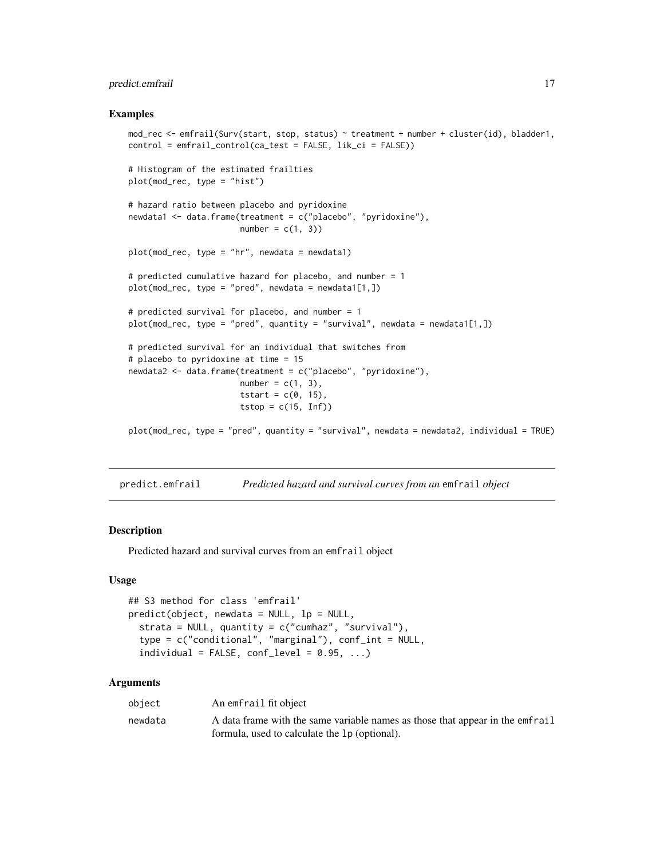#### <span id="page-16-0"></span>predict.emfrail 17

#### Examples

```
mod_rec <- emfrail(Surv(start, stop, status) ~ treatment + number + cluster(id), bladder1,
control = emfrail_control(ca_test = FALSE, lik_ci = FALSE))
# Histogram of the estimated frailties
plot(mod_rec, type = "hist")
# hazard ratio between placebo and pyridoxine
newdata1 <- data.frame(treatment = c("placebo", "pyridoxine"),
                       number = c(1, 3)plot(mod\_rec, type = "hr", newdata = newdata1)# predicted cumulative hazard for placebo, and number = 1
plot(mod\_rec, type = "pred", newdata = newdata1[1,])# predicted survival for placebo, and number = 1
plot(mod_rec, type = "pred", quantity = "survival", newdata = newdata1[1,])
# predicted survival for an individual that switches from
# placebo to pyridoxine at time = 15
newdata2 <- data.frame(treatment = c("placebo", "pyridoxine"),
                       number = c(1, 3),
                       tstart = c(0, 15),
                       tstop = c(15, Inf)plot(mod_rec, type = "pred", quantity = "survival", newdata = newdata2, individual = TRUE)
```
<span id="page-16-1"></span>predict.emfrail *Predicted hazard and survival curves from an* emfrail *object*

#### **Description**

Predicted hazard and survival curves from an emfrail object

#### Usage

```
## S3 method for class 'emfrail'
predict(object, newdata = NULL, lp = NULL,
  strata = NULL, quantity = c("cumhaz", "survival"),type = c("conditional", "marginal"), conf_int = NULL,
  individual = FALSE, conf\_level = 0.95, ...
```
#### Arguments

| object  | An emfrail fit object                                                         |
|---------|-------------------------------------------------------------------------------|
| newdata | A data frame with the same variable names as those that appear in the emfrail |
|         | formula, used to calculate the 1p (optional).                                 |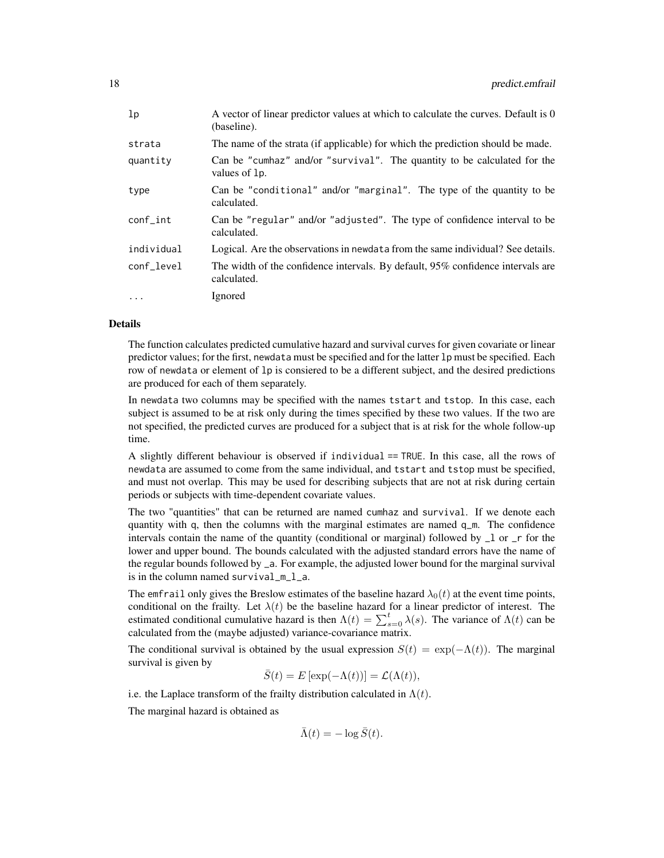| lp          | A vector of linear predictor values at which to calculate the curves. Default is 0<br>(baseline).  |  |
|-------------|----------------------------------------------------------------------------------------------------|--|
| strata      | The name of the strata (if applicable) for which the prediction should be made.                    |  |
| quantity    | Can be "cumhaz" and/or "survival". The quantity to be calculated for the<br>values of 1 <i>p</i> . |  |
| type        | Can be "conditional" and/or "marginal". The type of the quantity to be<br>calculated.              |  |
| $conf_$ int | Can be "regular" and/or "adjusted". The type of confidence interval to be<br>calculated.           |  |
| individual  | Logical. Are the observations in newdata from the same individual? See details.                    |  |
| conf level  | The width of the confidence intervals. By default, 95% confidence intervals are<br>calculated.     |  |
| $\ddots$ .  | Ignored                                                                                            |  |

#### Details

The function calculates predicted cumulative hazard and survival curves for given covariate or linear predictor values; for the first, newdata must be specified and for the latter lp must be specified. Each row of newdata or element of lp is consiered to be a different subject, and the desired predictions are produced for each of them separately.

In newdata two columns may be specified with the names tstart and tstop. In this case, each subject is assumed to be at risk only during the times specified by these two values. If the two are not specified, the predicted curves are produced for a subject that is at risk for the whole follow-up time.

A slightly different behaviour is observed if individual == TRUE. In this case, all the rows of newdata are assumed to come from the same individual, and tstart and tstop must be specified, and must not overlap. This may be used for describing subjects that are not at risk during certain periods or subjects with time-dependent covariate values.

The two "quantities" that can be returned are named cumhaz and survival. If we denote each quantity with q, then the columns with the marginal estimates are named q\_m. The confidence intervals contain the name of the quantity (conditional or marginal) followed by \_l or \_r for the lower and upper bound. The bounds calculated with the adjusted standard errors have the name of the regular bounds followed by \_a. For example, the adjusted lower bound for the marginal survival is in the column named survival\_m\_l\_a.

The emfrail only gives the Breslow estimates of the baseline hazard  $\lambda_0(t)$  at the event time points, conditional on the frailty. Let  $\lambda(t)$  be the baseline hazard for a linear predictor of interest. The estimated conditional cumulative hazard is then  $\Lambda(t) = \sum_{s=0}^{t} \lambda(s)$ . The variance of  $\Lambda(t)$  can be calculated from the (maybe adjusted) variance-covariance matrix.

The conditional survival is obtained by the usual expression  $S(t) = \exp(-\Lambda(t))$ . The marginal survival is given by

$$
\bar{S}(t) = E\left[\exp(-\Lambda(t))\right] = \mathcal{L}(\Lambda(t)),
$$

i.e. the Laplace transform of the frailty distribution calculated in  $\Lambda(t)$ .

The marginal hazard is obtained as

$$
\bar{\Lambda}(t) = -\log \bar{S}(t).
$$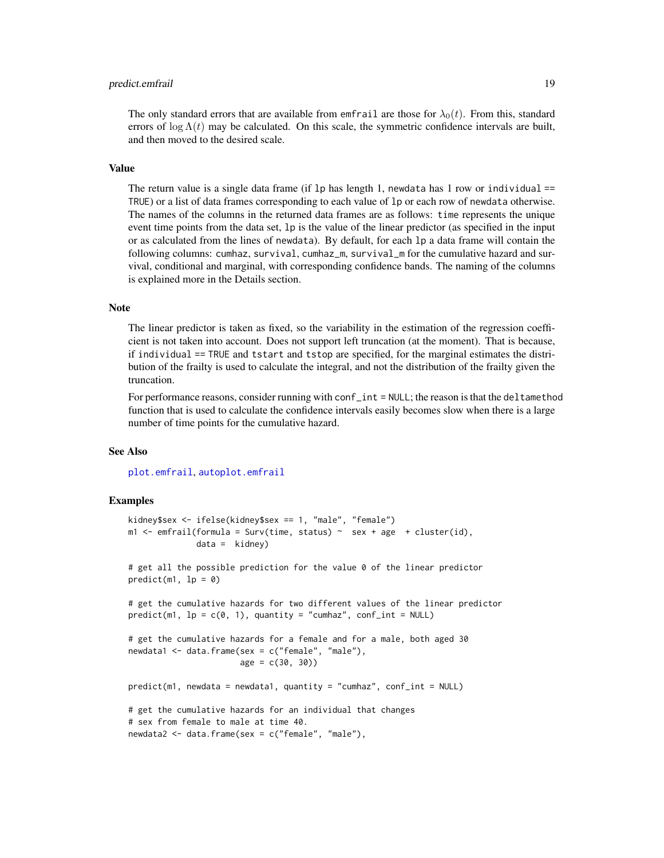#### <span id="page-18-0"></span>predict.emfrail 19

#### Value

The return value is a single data frame (if 1p has length 1, newdata has 1 row or individual  $=$ TRUE) or a list of data frames corresponding to each value of lp or each row of newdata otherwise. The names of the columns in the returned data frames are as follows: time represents the unique event time points from the data set, lp is the value of the linear predictor (as specified in the input or as calculated from the lines of newdata). By default, for each lp a data frame will contain the following columns: cumhaz, survival, cumhaz\_m, survival\_m for the cumulative hazard and survival, conditional and marginal, with corresponding confidence bands. The naming of the columns is explained more in the Details section.

#### Note

The linear predictor is taken as fixed, so the variability in the estimation of the regression coefficient is not taken into account. Does not support left truncation (at the moment). That is because, if individual == TRUE and tstart and tstop are specified, for the marginal estimates the distribution of the frailty is used to calculate the integral, and not the distribution of the frailty given the truncation.

For performance reasons, consider running with conf\_int = NULL; the reason is that the deltamethod function that is used to calculate the confidence intervals easily becomes slow when there is a large number of time points for the cumulative hazard.

#### See Also

[plot.emfrail](#page-15-1), [autoplot.emfrail](#page-1-1)

#### Examples

```
kidney$sex <- ifelse(kidney$sex == 1, "male", "female")
m1 <- emfrail(formula = Surv(time, status) ~ sex + age + cluster(id),
             data = kidney)
# get all the possible prediction for the value 0 of the linear predictor
predict(m1, lp = 0)
# get the cumulative hazards for two different values of the linear predictor
predict(m1, lp = c(0, 1), quantity = "cumhaz", conf(int = NULL)# get the cumulative hazards for a female and for a male, both aged 30
newdata1 <- data.frame(sex = c("female", "male"),
                       age = c(30, 30)predict(m1, newdata = newdata1, quantity = "cumhaz", conf_int = NULL)
# get the cumulative hazards for an individual that changes
# sex from female to male at time 40.
newdata2 <- data.frame(sex = c("female", "male"),
```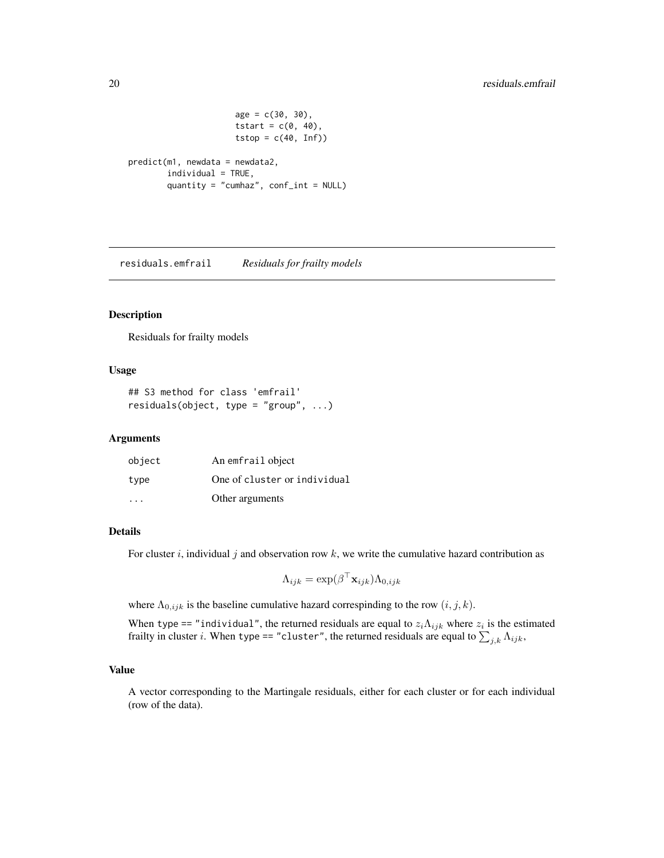```
age = c(30, 30),tstart = c(\emptyset, 4\emptyset),
                        tstop = c(40, Inf))
predict(m1, newdata = newdata2,
        individual = TRUE,
        quantity = "cumhaz", conf_int = NULL)
```
<span id="page-19-1"></span>residuals.emfrail *Residuals for frailty models*

#### Description

Residuals for frailty models

#### Usage

```
## S3 method for class 'emfrail'
residuals(object, type = "group", ...)
```
#### Arguments

| object | An emfrail object            |
|--------|------------------------------|
| type   | One of cluster or individual |
| .      | Other arguments              |

#### Details

For cluster i, individual j and observation row  $k$ , we write the cumulative hazard contribution as

$$
\Lambda_{ijk} = \exp(\beta^\top \mathbf{x}_{ijk}) \Lambda_{0,ijk}
$$

where  $\Lambda_{0,ijk}$  is the baseline cumulative hazard correspinding to the row  $(i, j, k)$ .

When type == "individual", the returned residuals are equal to  $z_i \Lambda_{ijk}$  where  $z_i$  is the estimated frailty in cluster i. When type == "cluster", the returned residuals are equal to  $\sum_{j,k} \Lambda_{ijk}$ ,

#### Value

A vector corresponding to the Martingale residuals, either for each cluster or for each individual (row of the data).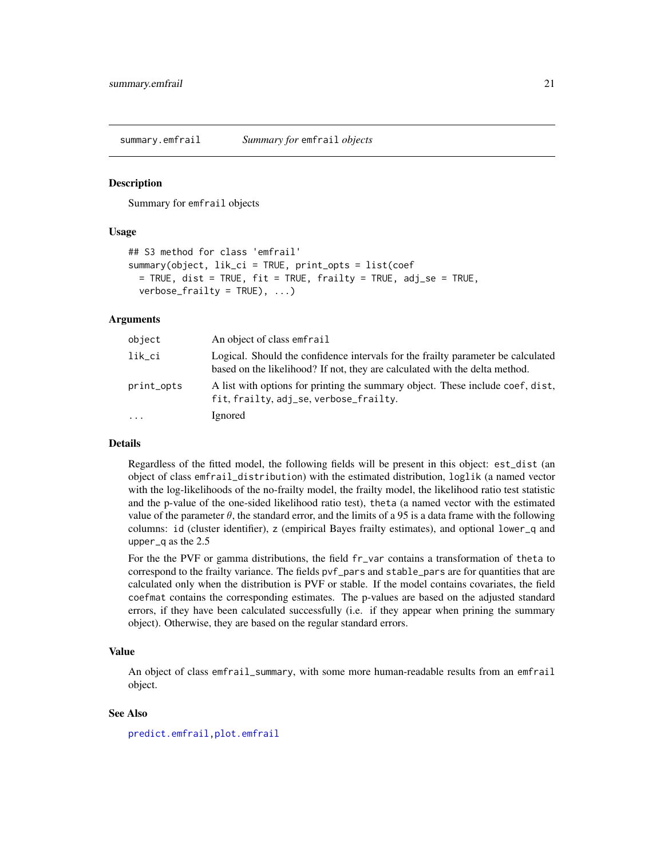<span id="page-20-1"></span><span id="page-20-0"></span>summary.emfrail *Summary for* emfrail *objects*

#### **Description**

Summary for emfrail objects

#### Usage

```
## S3 method for class 'emfrail'
summary(object, lik_ci = TRUE, print_opts = list(coef
 = TRUE, dist = TRUE, fit = TRUE, frailty = TRUE, adj_se = TRUE,
 verbose\_frality = TRUE, ...)
```
#### Arguments

| object     | An object of class emfrail                                                                                                                                      |  |
|------------|-----------------------------------------------------------------------------------------------------------------------------------------------------------------|--|
| lik_ci     | Logical. Should the confidence intervals for the frailty parameter be calculated<br>based on the likelihood? If not, they are calculated with the delta method. |  |
| print_opts | A list with options for printing the summary object. These include coef, dist,<br>fit, frailty, adj_se, verbose_frailty.                                        |  |
| $\cdot$    | Ignored                                                                                                                                                         |  |

#### Details

Regardless of the fitted model, the following fields will be present in this object: est\_dist (an object of class emfrail\_distribution) with the estimated distribution, loglik (a named vector with the log-likelihoods of the no-frailty model, the frailty model, the likelihood ratio test statistic and the p-value of the one-sided likelihood ratio test), theta (a named vector with the estimated value of the parameter  $\theta$ , the standard error, and the limits of a 95 is a data frame with the following columns: id (cluster identifier), z (empirical Bayes frailty estimates), and optional lower\_q and upper\_q as the 2.5

For the the PVF or gamma distributions, the field fr\_var contains a transformation of theta to correspond to the frailty variance. The fields pvf\_pars and stable\_pars are for quantities that are calculated only when the distribution is PVF or stable. If the model contains covariates, the field coefmat contains the corresponding estimates. The p-values are based on the adjusted standard errors, if they have been calculated successfully (i.e. if they appear when prining the summary object). Otherwise, they are based on the regular standard errors.

#### Value

An object of class emfrail\_summary, with some more human-readable results from an emfrail object.

#### See Also

[predict.emfrail](#page-16-1)[,plot.emfrail](#page-15-1)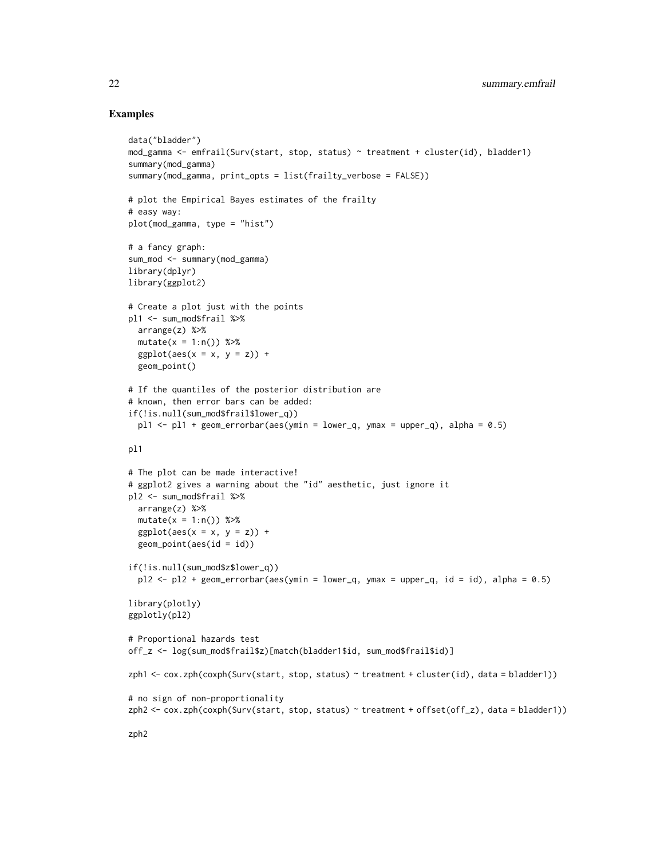#### Examples

```
data("bladder")
mod_gamma <- emfrail(Surv(start, stop, status) ~ treatment + cluster(id), bladder1)
summary(mod_gamma)
summary(mod_gamma, print_opts = list(frailty_verbose = FALSE))
# plot the Empirical Bayes estimates of the frailty
# easy way:
plot(mod_gamma, type = "hist")
# a fancy graph:
sum_mod <- summary(mod_gamma)
library(dplyr)
library(ggplot2)
# Create a plot just with the points
pl1 <- sum_mod$frail %>%
  arrange(z) %>%
  mutate(x = 1:n()) %>%
  ggplot(aes(x = x, y = z)) +
  geom_point()
# If the quantiles of the posterior distribution are
# known, then error bars can be added:
if(!is.null(sum_mod$frail$lower_q))
  pl1 \le pl1 + geom_errorbar(aes(ymin = lower_q, ymax = upper_q), alpha = 0.5)
pl1
# The plot can be made interactive!
# ggplot2 gives a warning about the "id" aesthetic, just ignore it
pl2 <- sum_mod$frail %>%
  arrange(z) %>%
  mutate(x = 1:n()) %>%
  ggplot(aes(x = x, y = z)) +
  geom_point(aes(id = id))
if(!is.null(sum_mod$z$lower_q))
  p12 \leq -p12 + \text{geom\_errorbar}(\text{aes}(\text{ymin} = \text{lower\_q}, \text{ymax} = \text{upper\_q}, \text{id} = \text{id}), \text{alpha} = 0.5)library(plotly)
ggplotly(pl2)
# Proportional hazards test
off_z <- log(sum_mod$frail$z)[match(bladder1$id, sum_mod$frail$id)]
zph1 <- cox.zph(coxph(Surv(start, stop, status) ~ treatment + cluster(id), data = bladder1))
# no sign of non-proportionality
zph2 <- cox.zph(coxph(Surv(start, stop, status) ~ treatment + offset(off_z), data = bladder1))
zph2
```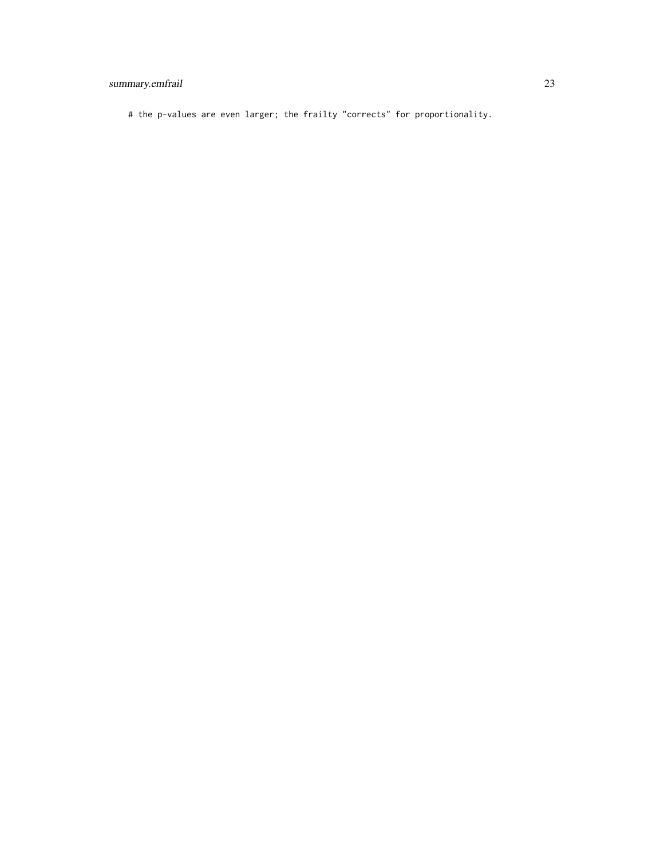#### summary.emfrail 23

# the p-values are even larger; the frailty "corrects" for proportionality.